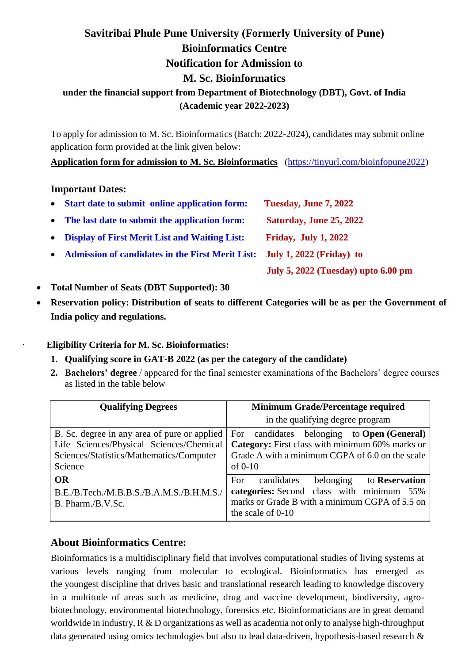# **Savitribai Phule Pune University (Formerly University of Pune) Bioinformatics Centre Notification for Admission to M. Sc. Bioinformatics under the financial support from Department of Biotechnology (DBT), Govt. of India**

### **(Academic year 2022-2023)**

To apply for admission to M. Sc. Bioinformatics (Batch: 2022-2024), candidates may submit online application form provided at the link given below:

#### **[Application form for admission to M. Sc. Bioinformatics](https://tinyurl.com/bioinfopune2022)** [\(https://tinyurl.com/bioinfopune2022\)](https://tinyurl.com/bioinfopune2022)

#### **Important Dates:**

| • Start date to submit online application form:         | Tuesday, June 7, 2022               |
|---------------------------------------------------------|-------------------------------------|
| • The last date to submit the application form:         | Saturday, June 25, 2022             |
| • Display of First Merit List and Waiting List:         | <b>Friday, July 1, 2022</b>         |
| <b>Admission of candidates in the First Merit List:</b> | July 1, $2022$ (Friday) to          |
|                                                         | July 5, 2022 (Tuesday) upto 6.00 pm |

- **Total Number of Seats (DBT Supported): 30**
- **Reservation policy: Distribution of seats to different Categories will be as per the Government of India policy and regulations.**

· **Eligibility Criteria for M. Sc. Bioinformatics:**

- **1. Qualifying score in GAT-B 2022 (as per the category of the candidate)**
- **2. Bachelors' degree** / appeared for the final semester examinations of the Bachelors' degree courses as listed in the table below

| <b>Qualifying Degrees</b>                                                                                                                       | <b>Minimum Grade/Percentage required</b>                                                                                                                                   |
|-------------------------------------------------------------------------------------------------------------------------------------------------|----------------------------------------------------------------------------------------------------------------------------------------------------------------------------|
|                                                                                                                                                 | in the qualifying degree program                                                                                                                                           |
| B. Sc. degree in any area of pure or applied<br>Life Sciences/Physical Sciences/Chemical<br>Sciences/Statistics/Mathematics/Computer<br>Science | For candidates belonging to <b>Open</b> (General)<br>Category: First class with minimum 60% marks or<br>Grade A with a minimum CGPA of 6.0 on the scale<br>of $0-10$       |
| OR<br>B.E./B.Tech./M.B.B.S./B.A.M.S./B.H.M.S./<br>B. Pharm./B.V.Sc.                                                                             | candidates<br>belonging to <b>Reservation</b><br>For<br>categories: Second class with minimum 55%<br>marks or Grade B with a minimum CGPA of 5.5 on<br>the scale of $0-10$ |

# **About Bioinformatics Centre:**

Bioinformatics is a multidisciplinary field that involves computational studies of living systems at various levels ranging from molecular to ecological. Bioinformatics has emerged as the youngest discipline that drives basic and translational research leading to knowledge discovery in a multitude of areas such as medicine, drug and vaccine development, biodiversity, agrobiotechnology, environmental biotechnology, forensics etc. Bioinformaticians are in great demand worldwide in industry,  $R \& D$  organizations as well as academia not only to analyse high-throughput data generated using omics technologies but also to lead data-driven, hypothesis-based research &